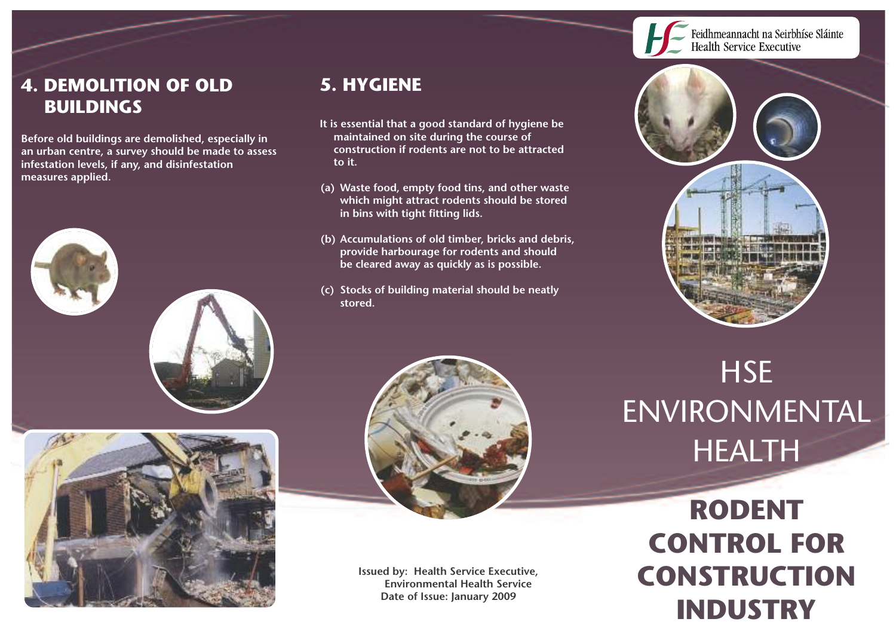

### **4. DEMOLITION OF OLD BUILDINGS**

**Before old buildings are demolished, especially in an urban centre, a survey should be made to assess infestation levels, if any, and disinfestation measures applied.**





#### **5. HYGIENE**

- **It is essential that a good standard of hygiene be maintained on site during the course of construction if rodents are not to be attracted to it.**
- **(a) Waste food, empty food tins, and other waste which might attract rodents should be stored in bins with tight fitting lids.**
- **(b) Accumulations of old timber, bricks and debris, provide harbourage for rodents and should be cleared away as quickly as is possible.**
- **(c) Stocks of building material should be neatly stored.**



**Issued by: Health Service Executive, Environmental Health Service Date of Issue: January 2009**

# **HSE** ENVIRONMENTAL HEALTH

**RODENT CONTROL FOR CONSTRUCTION INDUSTRY**